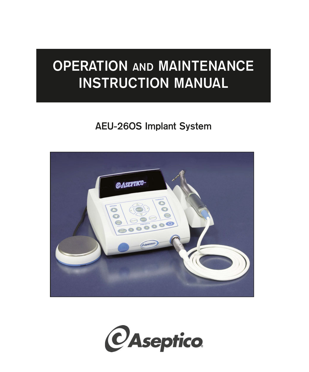## **OPERATION AND MAINTENANCE INSTRUCTION MANUAL**

### **AEU-26OS Implant System**



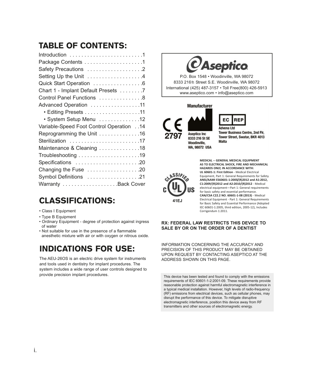### TABLE OF CONTENTS:

| Safety Precautions 2                     |
|------------------------------------------|
| Setting Up the Unit 4                    |
| Quick Start Operation 6                  |
| Chart 1 - Implant Default Presets 7      |
| Control Panel Functions 8                |
| Advanced Operation 11                    |
| • Editing Presets 11                     |
| • System Setup Menu 12                   |
| Variable-Speed Foot Control Operation 14 |
| Reprogramming the Unit 16                |
| Sterilization 17                         |
| Maintenance & Cleaning 18                |
|                                          |
| Specifications 20                        |
| Changing the Fuse 20                     |
| Symbol Definitions 21                    |
|                                          |
|                                          |

### CLASSIFICATIONS:

- Class I Equipment
- Type B Equipment
- Ordinary Equipment degree of protection against ingress of water
- Not suitable for use in the presence of a flammable anesthetic mixture with air or with oxygen or nitrous oxide.

### INDICATIONS FOR USE:

The AEU-26OS is an electric drive system for instruments and tools used in dentistry for implant procedures. The system includes a wide range of user controls designed to provide precision implant procedures. This device has been tested and found to comply with the emissions

# $\nu$ Aseptico

P.O. Box 1548 • Woodinville, WA 98072 8333 216<sup>th</sup> Street S.E. Woodinville, WA 98072 International (425) 487-3157 • Toll Free(800) 426-5913 www.aseptico.com • info@aseptico.com

#### **Manufacturer**





**Tower Business Centre, 2nd Flr,** Tower Street, Swatar, BKR 4013 Malta



**MEDICAL -- GENERAL MEDICAL EQUIPMENT AS TO ELECTRICAL SHOCK, FIRE AND MECHANICAL HAZARDS ONLY, IN ACCORDANCE WITH: UL 60601-1: First Edition** - Medical Electrical Equipment, Part 1: General Requirements for Safety. **ANSI/AAMI ES60601-1:2005/(R)2012 and A1:2012, C1:2009/(R)2012 and A2:2010/(R)2012** - Medical electrical equipment—Part 1: General requirements for basic safety and essential performance. **CAN/CSA C22.2 NO. 60601-1-08 (2013)** - Medical Electrical Equipment - Part 1: General Requirements

for Basic Safety and Essential Performance (Adopted IEC 60601-1:2005, third edition, 2005-12), Includes Corrigendum 1:2011.

#### **RX: FEDERAL LAW RESTRICTS THIS DEVICE TO SALE BY OR ON THE ORDER OF A DENTIST**

INFORMATION CONCERNING THE ACCURACY AND PRECISION OF THIS PRODUCT MAY BE OBTAINED UPON REQUEST BY CONTACTING ASEPTICO AT THE ADDRESS SHOWN ON THIS PAGE.

requirements of IEC 60601-1-2:2001-09. These requirements provide reasonable protection against harmful electromagnetic interference in a typical medical installation. However, high levels of radio-frequency (RF) emissions from electrical devices, such as cellular phones, may disrupt the performance of this device. To mitigate disruptive electromagnetic interference, position this device away from RF transmitters and other sources of electromagnetic energy.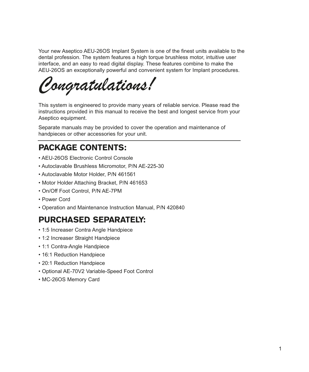Your new Aseptico AEU-26OS Implant System is one of the finest units available to the dental profession. The system features a high torque brushless motor, intuitive user interface, and an easy to read digital display. These features combine to make the AEU-26OS an exceptionally powerful and convenient system for Implant procedures.

*Congratulations!*

This system is engineered to provide many years of reliable service. Please read the instructions provided in this manual to receive the best and longest service from your Aseptico equipment.

Separate manuals may be provided to cover the operation and maintenance of handpieces or other accessories for your unit.

### PACKAGE CONTENTS:

- AEU-26OS Electronic Control Console
- Autoclavable Brushless Micromotor, P/N AE-225-30
- Autoclavable Motor Holder, P/N 461561
- Motor Holder Attaching Bracket, P/N 461653
- On/Off Foot Control, P/N AE-7PM
- Power Cord
- Operation and Maintenance Instruction Manual, P/N 420840

### PURCHASED SEPARATELY:

- 1:5 Increaser Contra Angle Handpiece
- 1:2 Increaser Straight Handpiece
- 1:1 Contra-Angle Handpiece
- 16:1 Reduction Handpiece
- 20:1 Reduction Handpiece
- Optional AE-70V2 Variable-Speed Foot Control
- MC-26OS Memory Card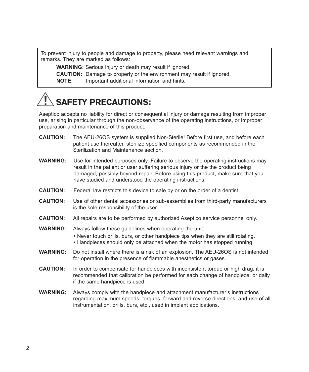To prevent injury to people and damage to property, please heed relevant warnings and remarks. They are marked as follows:

**WARNING:** Serious injury or death may result if ignored.

**CAUTION:** Damage to property or the environment may result if ignored.

**NOTE:** Important additional information and hints.

## SAFETY PRECAUTIONS:

Aseptico accepts no liability for direct or consequential injury or damage resulting from improper use, arising in particular through the non-observance of the operating instructions, or improper preparation and maintenance of this product.

- **CAUTION:** The AEU-26OS system is supplied Non-Sterile! Before first use, and before each patient use thereafter, sterilize specified components as recommended in the Sterilization and Maintenance section.
- **WARNING:** Use for intended purposes only. Failure to observe the operating instructions may result in the patient or user suffering serious injury or the the product being damaged, possibly beyond repair. Before using this product, make sure that you have studied and understood the operating instructions.
- **CAUTION:** Federal law restricts this device to sale by or on the order of a dentist.
- **CAUTION:** Use of other dental accessories or sub-assemblies from third-party manufacturers is the sole responsibility of the user.
- **CAUTION:** All repairs are to be performed by authorized Aseptico service personnel only.
- **WARNING:** Always follow these guidelines when operating the unit:
	- Never touch drills, burs, or other handpiece tips when they are still rotating.
	- Handpieces should only be attached when the motor has stopped running.
- **WARNING:** Do not install where there is a risk of an explosion. The AEU-26OS is not intended for operation in the presence of flammable anesthetics or gases.
- **CAUTION:** In order to compensate for handpieces with inconsistent torque or high drag, it is recommended that calibration be performed for each change of handpiece, or daily if the same handpiece is used.
- **WARNING:** Always comply with the handpiece and attachment manufacturer's instructions regarding maximum speeds, torques, forward and reverse directions, and use of all instrumentation, drills, burs, etc., used in implant applications.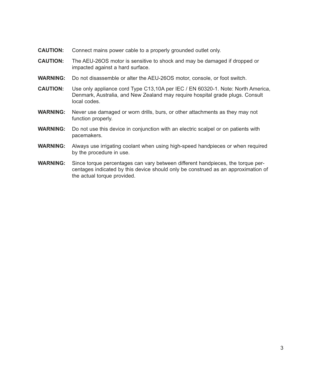- **CAUTION:** Connect mains power cable to a properly grounded outlet only.
- **CAUTION:** The AEU-26OS motor is sensitive to shock and may be damaged if dropped or impacted against a hard surface.
- **WARNING:** Do not disassemble or alter the AEU-26OS motor, console, or foot switch.
- **CAUTION:** Use only appliance cord Type C13,10A per IEC / EN 60320-1. Note: North America, Denmark, Australia, and New Zealand may require hospital grade plugs. Consult local codes.
- **WARNING:** Never use damaged or worn drills, burs, or other attachments as they may not function properly.
- **WARNING:** Do not use this device in conjunction with an electric scalpel or on patients with pacemakers.
- **WARNING:** Always use irrigating coolant when using high-speed handpieces or when required by the procedure in use.
- **WARNING:** Since torque percentages can vary between different handpieces, the torque percentages indicated by this device should only be construed as an approximation of the actual torque provided.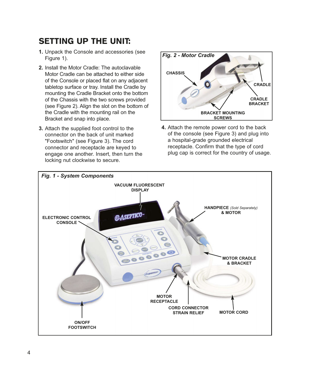### SETTING UP THE UNIT:

- **1.** Unpack the Console and accessories (see Figure 1).
- **2.** Install the Motor Cradle: The autoclavable Motor Cradle can be attached to either side of the Console or placed flat on any adjacent tabletop surface or tray. Install the Cradle by mounting the Cradle Bracket onto the bottom of the Chassis with the two screws provided (see Figure 2). Align the slot on the bottom of the Cradle with the mounting rail on the Bracket and snap into place.
- **3.** Attach the supplied foot control to the connector on the back of unit marked "Footswitch" (see Figure 3). The cord connector and receptacle are keyed to engage one another. Insert, then turn the locking nut clockwise to secure.



**4.** Attach the remote power cord to the back of the console (see Figure 3) and plug into a hospital-grade grounded electrical receptacle. Confirm that the type of cord plug cap is correct for the country of usage.

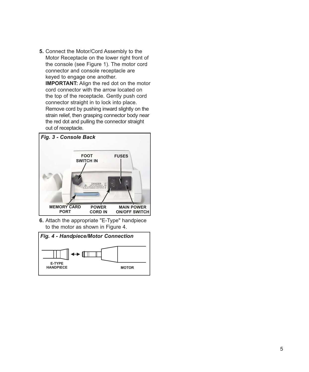**5.** Connect the Motor/Cord Assembly to the Motor Receptacle on the lower right front of the console (see Figure 1). The motor cord connector and console receptacle are keyed to engage one another. **IMPORTANT:** Align the red dot on the motor cord connector with the arrow located on the top of the receptacle. Gently push cord connector straight in to lock into place. Remove cord by pushing inward slightly on the strain relief, then grasping connector body near the red dot and pulling the connector straight out of receptacle.



**6.** Attach the appropriate "E-Type" handpiece to the motor as shown in Figure 4.

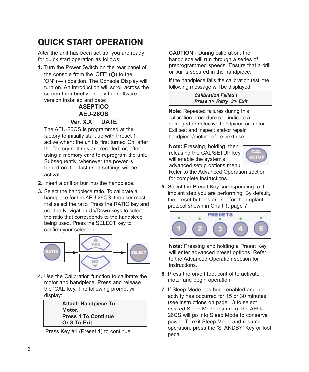### QUICK START OPERATION

After the unit has been set up, you are ready for quick start operation as follows:

**1.** Turn the Power Switch on the rear panel of the console from the 'OFF' (**O**) to the 'ON' (-) position. The Console Display will turn on. An introduction will scroll across the screen then briefly display the software version installed and date:

#### **ASEPTICO AEU-26OS Ver. X.X DATE**

The AEU-26OS is programmed at the factory to initially start up with Preset 1 active when: the unit is first turned On; after the factory settings are recalled; or, after using a memory card to reprogram the unit. Subsequently, whenever the power is turned on, the last used settings will be activated.

- **2.** Insert a drill or bur into the handpiece.
- **3.** Select the handpiece ratio. To calibrate a handpiece for the AEU-26OS, the user must first select the ratio. Press the RATIO key and use the Navigation Up/Down keys to select the ratio that corresponds to the handpiece being used. Press the SELECT key to confirm your selection.



**4.** Use the Calibration function to calibrate the motor and handpiece. Press and release the 'CAL' key. The following prompt will display:

> **Attach Handpiece To Motor, Press 1 To Continue Or 3 To Exit.**

Press Key #1 (Preset 1) to continue.

**CAUTION** - During calibration, the handpiece will run through a series of preprogrammed speeds. Ensure that a drill or bur is secured in the handpiece.

If the handpiece fails the calibration test, the following message will be displayed:

#### *Calibration Failed ! Press 1> Retry 3> Exit*

**Note:** Repeated failures during this calibration procedure can indicate a damaged or defective handpiece or motor - Exit test and inspect and/or repair handpiece/motor before next use.

**Note:** Pressing, holding, then releasing the CAL/SETUP key will enable the system's advanced setup options menu.



Refer to the Advanced Operation section for complete instructions.

**5.** Select the Preset Key corresponding to the implant step you are performing. By default, the preset buttons are set for the implant protocol shown in Chart 1, page 7.



**Note:** Pressing and holding a Preset Key will enter advanced preset options. Refer to the Advanced Operation section for instructions.

- **6.** Press the on/off foot control to activate motor and begin operation.
- **7.** If Sleep Mode has been enabled and no activity has occurred for 15 or 30 minutes (see instructions on page 13 to select desired Sleep Mode features), the AEU-26OS will go into Sleep Mode to conserve power. To exit Sleep Mode and resume operation, press the 'STANDBY' Key or foot pedal.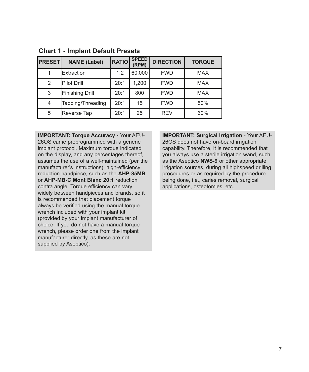| <b>PRESET</b> | <b>NAME (Label)</b> | <b>RATIO</b> | <b>SPEED</b><br>(RPM) | <b>DIRECTION</b> | <b>TORQUE</b> |
|---------------|---------------------|--------------|-----------------------|------------------|---------------|
|               | Extraction          | 1:2          | 60,000                | <b>FWD</b>       | <b>MAX</b>    |
| 2             | Pilot Drill         | 20:1         | 1.200                 | <b>FWD</b>       | <b>MAX</b>    |
| 3             | Finishing Drill     | 20:1         | 800                   | <b>FWD</b>       | <b>MAX</b>    |
| 4             | Tapping/Threading   | 20:1         | 15                    | <b>FWD</b>       | 50%           |
| 5             | Reverse Tap         | 20:1         | 25                    | <b>REV</b>       | 60%           |

#### **Chart 1 - Implant Default Presets**

**IMPORTANT: Torque Accuracy -** Your AEU-26OS came preprogrammed with a generic implant protocol. Maximum torque indicated on the display, and any percentages thereof, assumes the use of a well-maintained (per the manufacturer's instructions), high-efficiency reduction handpiece, such as the **AHP-85MB** or **AHP-MB-C Mont Blanc 20:1** reduction contra angle. Torque efficiency can vary widely between handpieces and brands, so it is recommended that placement torque always be verified using the manual torque wrench included with your implant kit (provided by your implant manufacturer of choice. If you do not have a manual torque wrench, please order one from the implant manufacturer directly, as these are not supplied by Aseptico).

**IMPORTANT: Surgical Irrigation** - Your AEU-26OS does not have on-board irrigation capability. Therefore, it is recommended that you always use a sterile irrigation wand, such as the Aseptico **NWS-9** or other appropriate irrigation sources, during all highspeed drilling procedures or as required by the procedure being done, i.e., caries removal, surgical applications, osteotomies, etc.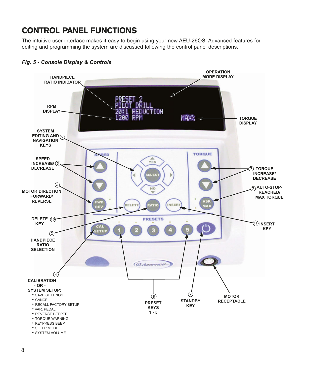### CONTROL PANEL FUNCTIONS

The intuitive user interface makes it easy to begin using your new AEU-26OS. Advanced features for editing and programming the system are discussed following the control panel descriptions.



#### *Fig. 5 - Console Display & Controls*

• SYSTEM VOLUME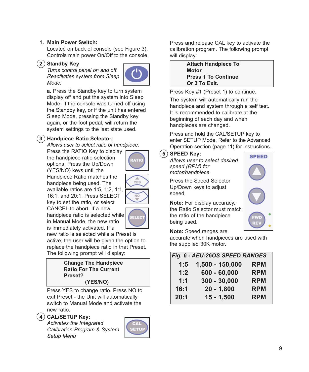#### **1. Main Power Switch:**

Located on back of console (see Figure 3). Controls main power On/Off to the console.

#### **2 Standby Key**

*Turns control panel on and off. Reactivates system from Sleep Mode.*



**a.** Press the Standby key to turn system display off and put the system into Sleep Mode. If the console was turned off using the Standby key, or if the unit has entered Sleep Mode, pressing the Standby key again, or the foot pedal, will return the system settings to the last state used.

#### **3 Handpiece Ratio Selector:**

*Allows user to select ratio of handpiece.*

Press the RATIO Key to display the handpiece ratio selection options. Press the Up/Down (YES/NO) keys until the Handpiece Ratio matches the handpiece being used. The available ratios are 1:5, 1:2, 1:1, 16:1, and 20:1. Press SELECT key to set the ratio, or select CANCEL to abort. If a new handpiece ratio is selected while in Manual Mode, the new ratio



RATIC

 $\Delta$ YES

is immediately activated. If a new ratio is selected while a Preset is active, the user will be given the option to replace the handpiece ratio in that Preset. The following prompt will display:

#### **Change The Handpiece Ratio For The Current Preset? (YES/NO)**

Press YES to change ratio. Press NO to exit Preset - the Unit will automatically switch to Manual Mode and activate the new ratio.

#### **4 CAL/SETUP Key:**

*Activates the Integrated Calibration Program & System Setup Menu*



Press and release CAL key to activate the calibration program. The following prompt will display:

> **Attach Handpiece To Motor, Press 1 To Continue Or 3 To Exit.**

Press Key #1 (Preset 1) to continue.

The system will automatically run the handpiece and system through a self test. It is recommended to calibrate at the beginning of each day and when handpieces are changed.

Press and hold the CAL/SETUP key to enter SETUP Mode. Refer to the Advanced Operation section (page 11) for instructions.

#### **5 SPEED Key:**

*Allows user to select desired speed (RPM) for motor/handpiece.* 

Press the Speed Selector Up/Down keys to adjust speed.

**Note:** For display accuracy, the Ratio Selector must match the ratio of the handpiece being used.

#### **Note:** Speed ranges are

accurate when handpieces are used with the supplied 30K motor.

| Fig. 6 - AEU-26OS SPEED RANGES |                 |            |  |  |
|--------------------------------|-----------------|------------|--|--|
| 1:5                            | 1,500 - 150,000 | <b>RPM</b> |  |  |
| 1:2                            | $600 - 60,000$  | <b>RPM</b> |  |  |
| 1:1                            | $300 - 30,000$  | <b>RPM</b> |  |  |
| 16:1                           | $20 - 1,800$    | <b>RPM</b> |  |  |
| 20:1                           | $15 - 1,500$    | <b>RPM</b> |  |  |

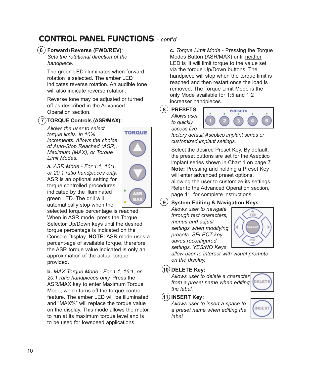### CONTROL PANEL FUNCTIONS **- cont'd**

#### **6 Forward/Reverse (FWD/REV)**:

*Sets the rotational direction of the handpiece.*

The green LED illuminates when forward rotation is selected. The amber LED indicates reverse rotation. An audible tone will also indicate reverse rotation.

Reverse tone may be adjusted or turned off as described in the Advanced Operation section.

**TORQUE** 

#### **7 TORQUE Controls (ASR/MAX):**

*Allows the user to select torque limits, in 10% increments. Allows the choice of Auto-Stop Reached (ASR), Maximum (MAX), or Torque Limit Modes.*

**a.** *ASR Mode - For 1:1, 16:1, or 20:1 ratio handpieces only.* ASR is an optional setting for torque controlled procedures, indicated by the illuminated green LED. The drill will automatically stop when the

selected torque percentage is reached. When in ASR mode, press the Torque Selector Up/Down keys until the desired torque percentage is indicated on the Console Display. **NOTE:** ASR mode uses a percent-age of available torque, therefore the ASR torque value indicated is only an approximation of the actual torque provided.

**b.** *MAX Torque Mode* - *For 1:1, 16:1, or 20:1 ratio handpieces only.* Press the ASR/MAX key to enter Maximum Torque Mode, which turns off the torque control feature. The amber LED will be illuminated and "MAX%" will replace the torque value on the display. This mode allows the motor to run at its maximum torque level and is to be used for lowspeed applications.

**c.** *Torque Limit Mode* - Pressing the Torque Modes Button (ASR/MAX) until neither LED is lit will limit torque to the value set via the torque Up/Down buttons. The handpiece will stop when the torque limit is reached and then restart once the load is removed. The Torque Limit Mode is the only Mode available for 1:5 and 1:2 increaser handpieces.

**8 PRESETS:** *Allows user*

*to quickly*



*factory default Aseptico implant series or customized implant settings.*

Select the desired Preset Key. By default, the preset buttons are set for the Aseptico implant series shown in Chart 1 on page 7. **Note:** Pressing and holding a Preset Key will enter advanced preset options, allowing the user to customize its settings. Refer to the Advanced Operation section, page 11, for complete instructions.

#### **9 System Editing & Navigation Keys:**

*Allows user to navigate through text characters, menus and adjust settings when modifying presets. SELECT key saves reconfigured settings. YES/NO Keys*



*allow user to interact with visual prompts on the display.*

#### **10 DELETE Key:**

*Allows user to delete a character from a preset name when editing the label.*



#### **11 INSERT Key:**

*Allows user to insert a space to a preset name when editing the label.*

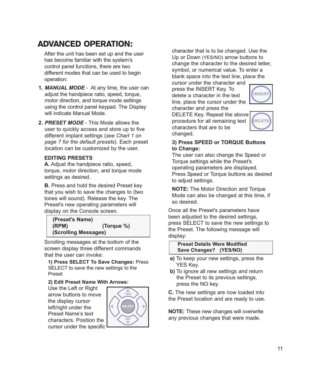### ADVANCED OPERATION:

After the unit has been set up and the user has become familiar with the system's control panel functions, there are two different modes that can be used to begin operation:

**1.** *MANUAL MODE* - At any time, the user can adjust the handpiece ratio, speed, torque, motor direction, and torque mode settings using the control panel keypad. The Display will indicate Manual Mode.

**2.** *PRESET MODE* - This Mode allows the user to quickly access and store up to five different implant settings (*see Chart 1 on page 7 for the default presets*). Each preset location can be customized by the user.

#### **EDITING PRESETS**

**A.** Adjust the handpiece ratio, speed, torque, motor direction, and torque mode settings as desired.

**B.** Press and hold the desired Preset key that you wish to save the changes to (two tones will sound). Release the key. The Preset's new operating parameters will display on the Console screen.

**(Preset's Name) (RPM) (Torque %) (Scrolling Messages)**

Scrolling messages at the bottom of the screen display three different commands that the user can invoke:

**1) Press SELECT To Save Changes:** Press SELECT to save the new settings to the Preset

#### **2) Edit Preset Name With Arrows:**

Use the Left or Right arrow buttons to move the display cursor left/right under the Preset Name's text characters. Position the cursor under the specific



character that is to be changed. Use the Up or Down (YES/NO) arrow buttons to change the character to the desired letter, symbol, or numerical value. To enter a blank space into the text line, place the

cursor under the character and press the INSERT Key. To delete a character in the text line, place the cursor under the character and press the



DELETE Key. Repeat the above procedure for all remaining text characters that are to be changed.



#### **3) Press SPEED or TORQUE Buttons to Change:**

The user can also change the Speed or Torque settings while the Preset's operating parameters are displayed. Press Speed or Torque buttons as desired to adjust settings.

**NOTE:** The Motor Direction and Torque Mode can also be changed at this time, if so desired.

Once all the Preset's parameters have been adjusted to the desired settings, press SELECT to save the new settings to the Preset. The following message will display:

#### **Preset Details Were Modified Save Changes? (YES/NO)**

- **a)** To keep your new settings, press the YES Key.
- **b)** To ignore all new settings and return the Preset to its previous settings, press the NO key.

**C.** The new settings are now loaded into the Preset location and are ready to use.

**NOTE:** These new changes will overwrite any previous changes that were made.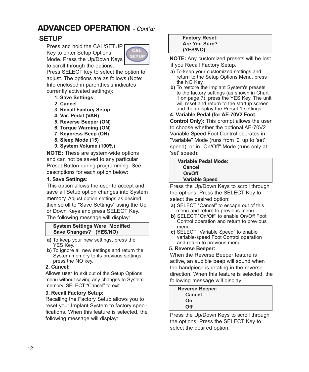### ADVANCED OPERATION **- Cont'd:**

### **SETUP**

Press and hold the CAL/SETUP Key to enter Setup Options Mode. Press the Up/Down Keys to scroll through the options.



Press SELECT key to select the option to adjust. The options are as follows (Note: Info enclosed in parenthesis indicates currently activated settings):

- **1. Save Settings**
- **2. Cancel**
- **3. Recall Factory Setup**
- **4. Var. Pedal (VAR)**
- **5. Reverse Beeper (ON)**
- **6. Torque Warning (ON)**
- **7. Keypress Beep (ON)**
- **8. Sleep Mode (15)**
- **9. System Volume (100%)**

**NOTE:** These are system-wide options and can not be saved to any particular Preset Button during programming. See descriptions for each option below:

#### **1. Save Settings:**

This option allows the user to accept and save all Setup option changes into System memory. Adjust option settings as desired, then scroll to "Save Settings" using the Up or Down Keys and press SELECT Key. The following message will display:

#### **System Settings Were Modified Save Changes? (YES/NO)**

- **a)** To keep your new settings, press the YES Kev.
- **b)** To ignore all new settings and return the System memory to its previous settings, press the NO key.

#### **2. Cancel:**

Allows user to exit out of the Setup Options menu without saving any changes to System memory. SELECT "Cancel" to exit.

#### **3. Recall Factory Setup:**

Recalling the Factory Setup allows you to reset your Implant System to factory specifications. When this feature is selected, the following message will display:

#### **Factory Reset: Are You Sure? (YES/NO)**

**NOTE:** Any customized presets will be lost if you Recall Factory Setup.

**a)** To keep your customized settings and return to the Setup Options Menu, press

the NO Key. **b)** To restore the Implant System's presets to the factory settings (as shown in Chart 1 on page 7), press the YES Key. The unit will reset and return to the startup screen and then display the Preset 1 settings.

#### **4. Variable Pedal (for AE-70V2 Foot**

**Control Only):** This prompt allows the user to choose whether the optional AE-70V2 Variable Speed Foot Control operates in "Variable" Mode (runs from '0' up to 'set' speed), or in "On/Off" Mode (runs only at 'set' speed):

| <b>Variable Pedal Mode:</b> |  |  |
|-----------------------------|--|--|
| Cancel                      |  |  |
| On/Off                      |  |  |
| <b>Variable Speed</b>       |  |  |
|                             |  |  |

Press the Up/Down Keys to scroll through the options. Press the SELECT Key to select the desired option:

- **a)** SELECT "Cancel" to escape out of this menu and return to previous menu.
- **b)** SELECT "On/Off" to enable On/Off Foot Control operation and return to previous menu.
- **c)** SELECT "Variable Speed" to enable variable-speed Foot Control operation and return to previous menu.

#### **5. Reverse Beeper:**

When the Reverse Beeper feature is active, an audible beep will sound when the handpiece is rotating in the reverse direction. When this feature is selected, the following message will display:

| <b>Reverse Beeper:</b> |  |
|------------------------|--|
| Cancel                 |  |
| On                     |  |
| Off                    |  |
|                        |  |

Press the Up/Down Keys to scroll through the options. Press the SELECT Key to select the desired option: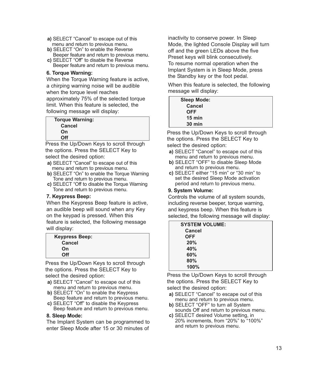- **a)** SELECT "Cancel" to escape out of this menu and return to previous menu.
- **b)** SELECT "On" to enable the Reverse Beeper feature and return to previous menu.
- **c)** SELECT "Off" to disable the Reverse Beeper feature and return to previous menu.

#### **6. Torque Warning:**

When the Torque Warning feature is active, a chirping warning noise will be audible when the torque level reaches approximately 75% of the selected torque limit. When this feature is selected, the following message will display:

| <b>Torque Warning:</b> |  |
|------------------------|--|
| <b>Cancel</b>          |  |
| On                     |  |
| Off                    |  |

Press the Up/Down Keys to scroll through the options. Press the SELECT Key to select the desired option:

- **a)** SELECT "Cancel" to escape out of this menu and return to previous menu.
- **b)** SELECT "On" to enable the Torque Warning Tone and return to previous menu.
- **c)** SELECT "Off to disable the Torque Warning Tone and return to previous menu.

#### **7. Keypress Beep:**

When the Keypress Beep feature is active, an audible beep will sound when any Key on the keypad is pressed. When this feature is selected, the following message will display:

Press the Up/Down Keys to scroll through the options. Press the SELECT Key to select the desired option:

- **a)** SELECT "Cancel" to escape out of this menu and return to previous menu.
- **b)** SELECT "On" to enable the Keypress Beep feature and return to previous menu.
- **c)** SELECT "Off" to disable the Keypress Beep feature and return to previous menu.

#### **8. Sleep Mode:**

The Implant System can be programmed to enter Sleep Mode after 15 or 30 minutes of

inactivity to conserve power. In Sleep Mode, the lighted Console Display will turn off and the green LEDs above the five Preset keys will blink consecutively. To resume normal operation when the Implant System is in Sleep Mode, press the Standby key or the foot pedal.

When this feature is selected, the following message will display:

| <b>Sleep Mode:</b> |  |
|--------------------|--|
| Cancel             |  |
| <b>OFF</b>         |  |
| $15 \text{ min}$   |  |
| $30 \text{ min}$   |  |

Press the Up/Down Keys to scroll through the options. Press the SELECT Key to select the desired option:

- **a)** SELECT "Cancel" to escape out of this menu and return to previous menu.
- **b)** SELECT "OFF" to disable Sleep Mode and return to previous menu.
- **c)** SELECT either "15 min" or "30 min" to set the desired Sleep Mode activation period and return to previous menu.

#### **9. System Volume:**

Controls the volume of all system sounds, including reverse beeper, torque warning, and keypress beep. When this feature is selected, the following message will display:

| <b>SYSTEM VOLUME:</b> |  |
|-----------------------|--|
| Cancel                |  |
| <b>OFF</b>            |  |
| 20%                   |  |
| 40%                   |  |
| 60%                   |  |
| 80%                   |  |
| 100%                  |  |

Press the Up/Down Keys to scroll through the options. Press the SELECT Key to select the desired option:

- **a)** SELECT "Cancel" to escape out of this menu and return to previous menu.
- **b)** SELECT "OFF" to turn all System sounds Off and return to previous menu.
- **c)** SELECT desired Volume setting, in 20% increments, from "20%" to "100%" and return to previous menu.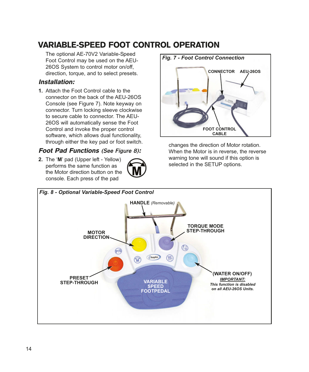### VARIABLE-SPEED FOOT CONTROL OPERATION

The optional AE-70V2 Variable-Speed Foot Control may be used on the AEU-26OS System to control motor on/off, direction, torque, and to select presets.

#### Installation:

**1.** Attach the Foot Control cable to the connector on the back of the AEU-26OS Console (see Figure 7). Note keyway on connector. Turn locking sleeve clockwise to secure cable to connector. The AEU-26OS will automatically sense the Foot Control and invoke the proper control software, which allows dual functionality, through either the key pad or foot switch.

#### Foot Pad Functions **(See Figure 8)**:

**2.** The '**M**' pad (Upper left - Yellow) performs the same function as the Motor direction button on the console. Each press of the pad





changes the direction of Motor rotation. When the Motor is in reverse, the reverse warning tone will sound if this option is selected in the SETUP options.

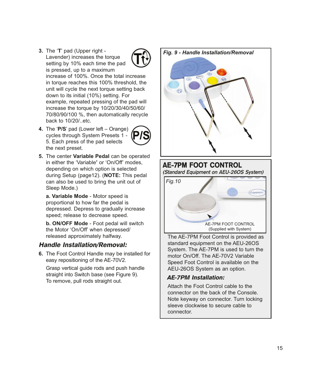- **3.** The '**T**' pad (Upper right Lavender) increases the torque setting by 10% each time the pad is pressed, up to a maximum increase of 100%. Once the total increase in torque reaches this 100% threshold, the unit will cycle the next torque setting back down to its initial (10%) setting. For example, repeated pressing of the pad will increase the torque by 10/20/30/40/50/60/ 70/80/90/100 %, then automatically recycle back to 10/20/..etc.
- **4.** The '**P/S**' pad (Lower left Orange) cycles through System Presets 1 - 5. Each press of the pad selects the next preset.



**5.** The center **Variable Pedal** can be operated in either the 'Variable**'** or 'On/Off' modes, depending on which option is selected during Setup (page12). (**NOTE:** This pedal can also be used to bring the unit out of Sleep Mode.)

**a. Variable Mode** - Motor speed is proportional to how far the pedal is depressed. Depress to gradually increase speed; release to decrease speed.

**b. ON/OFF Mode** - Foot pedal will switch the Motor 'On/Off' when depressed/ released approximately halfway.

#### Handle Installation/Removal:

**6.** The Foot Control Handle may be installed for easy repositioning of the AE-70V2.

Grasp vertical guide rods and push handle straight into Switch base (see Figure 9). To remove, pull rods straight out.

*Fig. 9 - Handle Installation/Removal*



**AE-7PM FOOT CONTROL (Standard Equipment on AEU-26OS System)** *Fig.10* AE-7PM FOOT CONTROL (Supplied with System)

The AE-7PM Foot Control is provided as standard equipment on the AEU-26OS System. The AE-7PM is used to turn the motor On/Off. The AE-70V2 Variable Speed Foot Control is available on the AEU-26OS System as an option.

#### AE-7PM Installation:

Attach the Foot Control cable to the connector on the back of the Console. Note keyway on connector. Turn locking sleeve clockwise to secure cable to connector.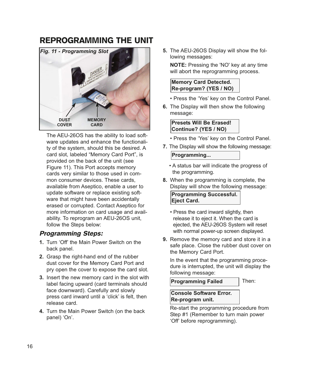### REPROGRAMMING THE UNIT



The AEU-26OS has the ability to load software updates and enhance the functionality of the system, should this be desired. A card slot, labeled "Memory Card Port", is provided on the back of the unit (see Figure 11). This Port accepts memory cards very similar to those used in common consumer devices. These cards, available from Aseptico, enable a user to update software or replace existing software that might have been accidentally erased or corrupted. Contact Aseptico for more information on card usage and availability. To reprogram an AEU-26OS unit, follow the Steps below:

#### Programming Steps:

- **1.** Turn 'Off' the Main Power Switch on the back panel.
- **2.** Grasp the right-hand end of the rubber dust cover for the Memory Card Port and pry open the cover to expose the card slot.
- **3.** Insert the new memory card in the slot with label facing upward (card terminals should face downward). Carefully and slowly press card inward until a 'click' is felt, then release card.
- **4.** Turn the Main Power Switch (on the back panel) 'On'.

**5.** The AEU-26OS Display will show the following messages:

**NOTE:** Pressing the 'NO' key at any time will abort the reprogramming process.

#### **Memory Card Detected. Re-program? (YES / NO)**

- Press the 'Yes' key on the Control Panel.
- **6.** The Display will then show the following message:

#### **Presets Will Be Erased! Continue? (YES / NO)**

- Press the 'Yes' key on the Control Panel.
- **7.** The Display will show the following message:

#### **Programming...**

- A status bar will indicate the progress of the programming.
- **8.** When the programming is complete, the Display will show the following message:

**Programming Successful. Eject Card.**

- Press the card inward slightly, then release it to eject it. When the card is ejected, the AEU-26OS System will reset with normal power-up screen displayed.
- **9.** Remove the memory card and store it in a safe place. Close the rubber dust cover on the Memory Card Port.

In the event that the programming procedure is interrupted, the unit will display the following message:

**Programming Failed**

Then:

#### **Console Software Error. Re-program unit.**

Re-start the programming procedure from Step #1 (Remember to turn main power 'Off' before reprogramming).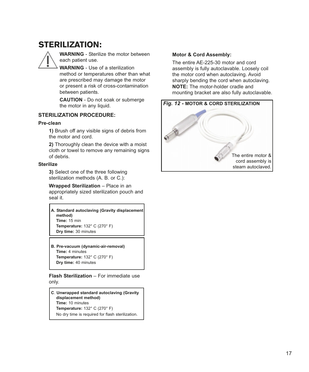### STERILIZATION:

**WARNING** - Sterilize the motor between each patient use.

**WARNING** - Use of a sterilization method or temperatures other than what are prescribed may damage the motor or present a risk of cross-contamination between patients.

**CAUTION** - Do not soak or submerge the motor in any liquid.

#### **STERILIZATION PROCEDURE:**

#### **Pre-clean**

**1)** Brush off any visible signs of debris from the motor and cord.

**2)** Thoroughly clean the device with a moist cloth or towel to remove any remaining signs of debris.

#### **Sterilize**

**3)** Select one of the three following sterilization methods (A. B. or C.):

**Wrapped Sterilization** – Place in an appropriately sized sterilization pouch and seal it.

**A. Standard autoclaving (Gravity displacement method) Time:** 15 min **Temperature:** 132° C (270° F) **Dry time:** 30 minutes

**B. Pre-vacuum (dynamic-air-removal) Time:** 4 minutes **Temperature:** 132° C (270° F) **Dry time:** 40 minutes

**Flash Sterilization** – For immediate use only.

**C**. **Unwrapped standard autoclaving (Gravity displacement method) Time:** 10 minutes **Temperature:** 132° C (270° F) No dry time is required for flash sterilization.

#### **Motor & Cord Assembly:**

The entire AE-225-30 motor and cord assembly is fully autoclavable. Loosely coil the motor cord when autoclaving. Avoid sharply bending the cord when autoclaving. **NOTE:** The motor-holder cradle and mounting bracket are also fully autoclavable.

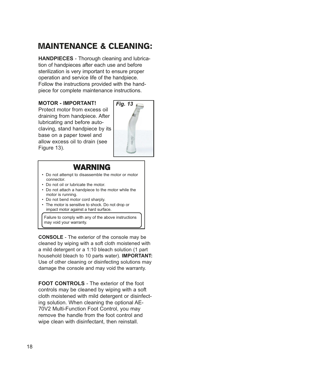### MAINTENANCE & CLEANING:

**HANDPIECES** - Thorough cleaning and lubrication of handpieces after each use and before sterilization is very important to ensure proper operation and service life of the handpiece. Follow the instructions provided with the handpiece for complete maintenance instructions.

#### **MOTOR - IMPORTANT!**

Protect motor from excess oil draining from handpiece. After lubricating and before autoclaving, stand handpiece by its base on a paper towel and allow excess oil to drain (see Figure 13).



### WARNING

- Do not attempt to disassemble the motor or motor connector.
- Do not oil or lubricate the motor.
- Do not attach a handpiece to the motor while the motor is running.
- Do not bend motor cord sharply.
- The motor is sensitive to shock. Do not drop or impact motor against a hard surface.

Failure to comply with any of the above instructions may void your warranty.

**CONSOLE** - The exterior of the console may be cleaned by wiping with a soft cloth moistened with a mild detergent or a 1:10 bleach solution (1 part household bleach to 10 parts water). **IMPORTANT:** Use of other cleaning or disinfecting solutions may damage the console and may void the warranty.

**FOOT CONTROLS** - The exterior of the foot controls may be cleaned by wiping with a soft cloth moistened with mild detergent or disinfecting solution. When cleaning the optional AE-70V2 Multi-Function Foot Control, you may remove the handle from the foot control and wipe clean with disinfectant, then reinstall.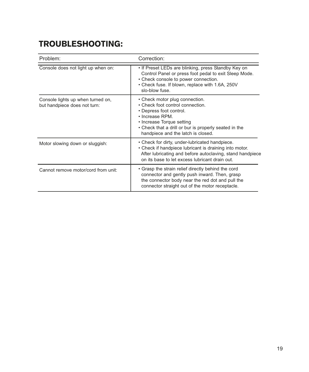### TROUBLESHOOTING:

| Problem:                                                          | Correction:                                                                                                                                                                                                                                  |  |  |
|-------------------------------------------------------------------|----------------------------------------------------------------------------------------------------------------------------------------------------------------------------------------------------------------------------------------------|--|--|
| Console does not light up when on:                                | • If Preset LEDs are blinking, press Standby Key on<br>Control Panel or press foot pedal to exit Sleep Mode.<br>• Check console to power connection.<br>• Check fuse. If blown, replace with 1.6A, 250V<br>slo-blow fuse.                    |  |  |
| Console lights up when turned on,<br>but handpiece does not turn: | • Check motor plug connection.<br>• Check foot control connection.<br>• Depress foot control.<br>• Increase RPM.<br>• Increase Torque setting<br>• Check that a drill or bur is properly seated in the<br>handpiece and the latch is closed. |  |  |
| Motor slowing down or sluggish:                                   | • Check for dirty, under-lubricated handpiece.<br>• Check if handpiece lubricant is draining into motor.<br>After lubricating and before autoclaving, stand handpiece<br>on its base to let excess lubricant drain out.                      |  |  |
| Cannot remove motor/cord from unit:                               | • Grasp the strain relief directly behind the cord<br>connector and gently push inward. Then, grasp<br>the connector body near the red dot and pull the<br>connector straight out of the motor receptacle.                                   |  |  |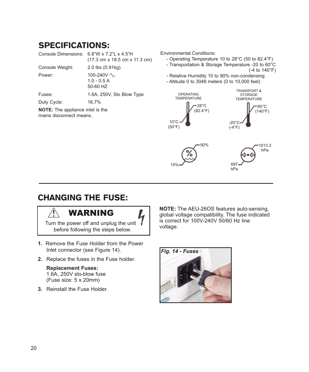### SPECIFICATIONS:

| Console Dimensions: 6.8"W x 7.2"L x 4.5"H | (17.3 cm x 18.5 cm x 11.3 cm)           |
|-------------------------------------------|-----------------------------------------|
| Console Weight:                           | $2.0$ lbs $(0.91$ kg)                   |
| Power:                                    | 100-240V ~<br>$1.0 - 0.5 A$<br>50-60 HZ |
| Fuses:                                    | 1.6A, 250V, Slo Blow Type               |
| Duty Cycle:                               | 16.7%                                   |

**NOTE:** The appliance inlet is the mains disconnect means.

Environmental Conditions:

- Operating Temperature 10 to 28°C (50 to 82.4°F)

- Transportation & Storage Temperature -20 to 60°C (-4 to 140°F)

- Relative Humidity 10 to 90% non-condensing - Altitude 0 to 3048 meters (0 to 10,000 feet)
- 1013.3 hPa 697 hPa  $10<sup>c</sup>$ 90%  $10^{\circ}$ C (50°F) 28°C (82.4°F) OPERATING **TEMPERATURE** -20°C  $(-4°F)$  $-60^{\circ}$ C (140°F) TRANSPORT & STORAGE TEMPERATURE

### CHANGING THE FUSE:

### WARNING

Turn the power off and unplug the unit  $\sqrt{ }$ before following the steps below.

- **1.** Remove the Fuse Holder from the Power Inlet connector (see Figure 14).
- **2.** Replace the fuses in the Fuse holder.

#### **Replacement Fuses:** 1.6A, 250V slo-blow fuse (Fuse size: 5 x 20mm)

**3.** Reinstall the Fuse Holder.

**NOTE:** The AEU-26OS features auto-sensing, global voltage compatibility. The fuse indicated is correct for 100V-240V 50/60 Hz line voltage.

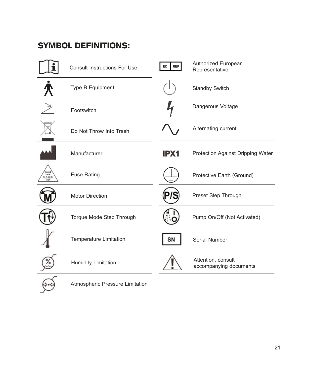### SYMBOL DEFINITIONS:

|                                                                      | <b>Consult Instructions For Use</b> | EC<br><b>REP</b> | Authorized European<br>Representative        |
|----------------------------------------------------------------------|-------------------------------------|------------------|----------------------------------------------|
|                                                                      | Type B Equipment                    |                  | <b>Standby Switch</b>                        |
|                                                                      | Footswitch                          |                  | Dangerous Voltage                            |
|                                                                      | Do Not Throw Into Trash             |                  | Alternating current                          |
|                                                                      | Manufacturer                        | IPX1             | Protection Against Dripping Water            |
| $\overline{\overline{\phantom{a}}}_{250V}$<br>SLO-BLO<br><b>1.6A</b> | <b>Fuse Rating</b>                  |                  | Protective Earth (Ground)                    |
|                                                                      | <b>Motor Direction</b>              |                  | Preset Step Through                          |
|                                                                      | Torque Mode Step Through            |                  | Pump On/Off (Not Activated)                  |
|                                                                      | <b>Temperature Limitation</b>       | SN               | Serial Number                                |
|                                                                      | <b>Humidity Limitation</b>          |                  | Attention, consult<br>accompanying documents |
|                                                                      | Atmospheric Pressure Limitation     |                  |                                              |

 $\overline{a}$